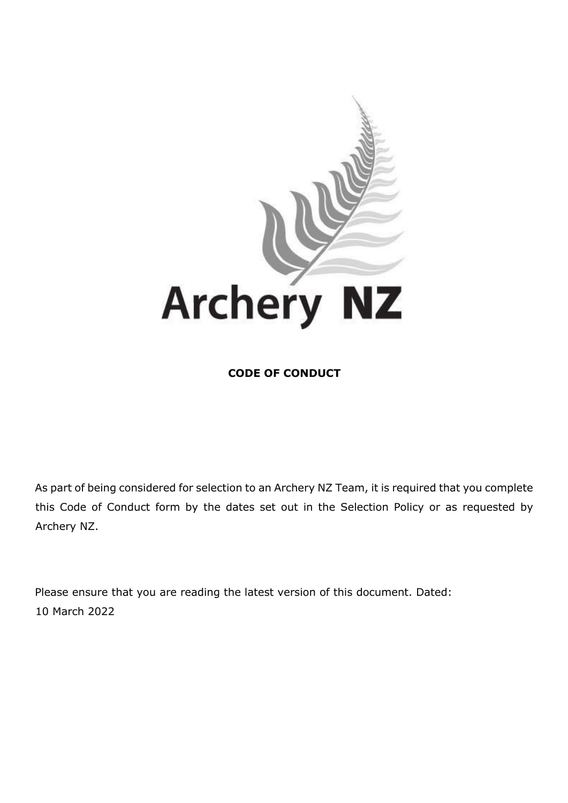

**CODE OF CONDUCT** 

As part of being considered for selection to an Archery NZ Team, it is required that you complete this Code of Conduct form by the dates set out in the Selection Policy or as requested by Archery NZ.

Please ensure that you are reading the latest version of this document. Dated: 10 March 2022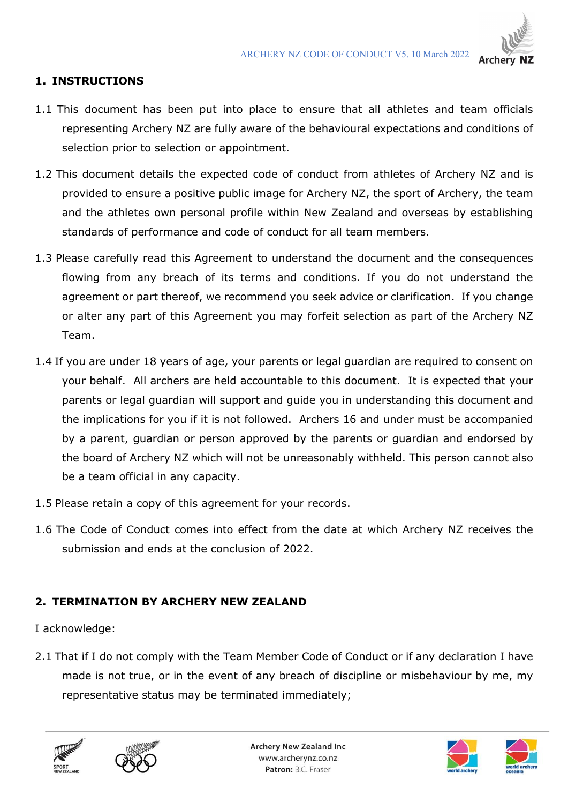

## **1. INSTRUCTIONS**

- 1.1 This document has been put into place to ensure that all athletes and team officials representing Archery NZ are fully aware of the behavioural expectations and conditions of selection prior to selection or appointment.
- 1.2 This document details the expected code of conduct from athletes of Archery NZ and is provided to ensure a positive public image for Archery NZ, the sport of Archery, the team and the athletes own personal profile within New Zealand and overseas by establishing standards of performance and code of conduct for all team members.
- 1.3 Please carefully read this Agreement to understand the document and the consequences flowing from any breach of its terms and conditions. If you do not understand the agreement or part thereof, we recommend you seek advice or clarification. If you change or alter any part of this Agreement you may forfeit selection as part of the Archery NZ Team.
- 1.4 If you are under 18 years of age, your parents or legal guardian are required to consent on your behalf. All archers are held accountable to this document. It is expected that your parents or legal guardian will support and guide you in understanding this document and the implications for you if it is not followed. Archers 16 and under must be accompanied by a parent, guardian or person approved by the parents or guardian and endorsed by the board of Archery NZ which will not be unreasonably withheld. This person cannot also be a team official in any capacity.
- 1.5 Please retain a copy of this agreement for your records.
- 1.6 The Code of Conduct comes into effect from the date at which Archery NZ receives the submission and ends at the conclusion of 2022.

### **2. TERMINATION BY ARCHERY NEW ZEALAND**

I acknowledge:

2.1 That if I do not comply with the Team Member Code of Conduct or if any declaration I have made is not true, or in the event of any breach of discipline or misbehaviour by me, my representative status may be terminated immediately;







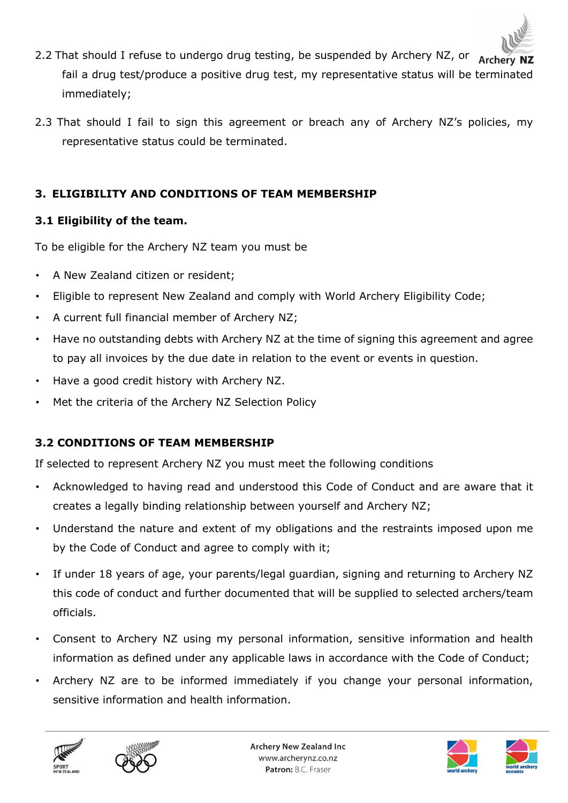

- 2.2 That should I refuse to undergo drug testing, be suspended by Archery NZ, or Archery fail a drug test/produce a positive drug test, my representative status will be terminated immediately;
- 2.3 That should I fail to sign this agreement or breach any of Archery NZ's policies, my representative status could be terminated.

## **3. ELIGIBILITY AND CONDITIONS OF TEAM MEMBERSHIP**

## **3.1 Eligibility of the team.**

To be eligible for the Archery NZ team you must be

- A New Zealand citizen or resident;
- Eligible to represent New Zealand and comply with World Archery Eligibility Code;
- A current full financial member of Archery NZ;
- Have no outstanding debts with Archery NZ at the time of signing this agreement and agree to pay all invoices by the due date in relation to the event or events in question.
- Have a good credit history with Archery NZ.
- Met the criteria of the Archery NZ Selection Policy

## **3.2 CONDITIONS OF TEAM MEMBERSHIP**

If selected to represent Archery NZ you must meet the following conditions

- Acknowledged to having read and understood this Code of Conduct and are aware that it creates a legally binding relationship between yourself and Archery NZ;
- Understand the nature and extent of my obligations and the restraints imposed upon me by the Code of Conduct and agree to comply with it;
- If under 18 years of age, your parents/legal guardian, signing and returning to Archery NZ this code of conduct and further documented that will be supplied to selected archers/team officials.
- Consent to Archery NZ using my personal information, sensitive information and health information as defined under any applicable laws in accordance with the Code of Conduct;
- Archery NZ are to be informed immediately if you change your personal information, sensitive information and health information.







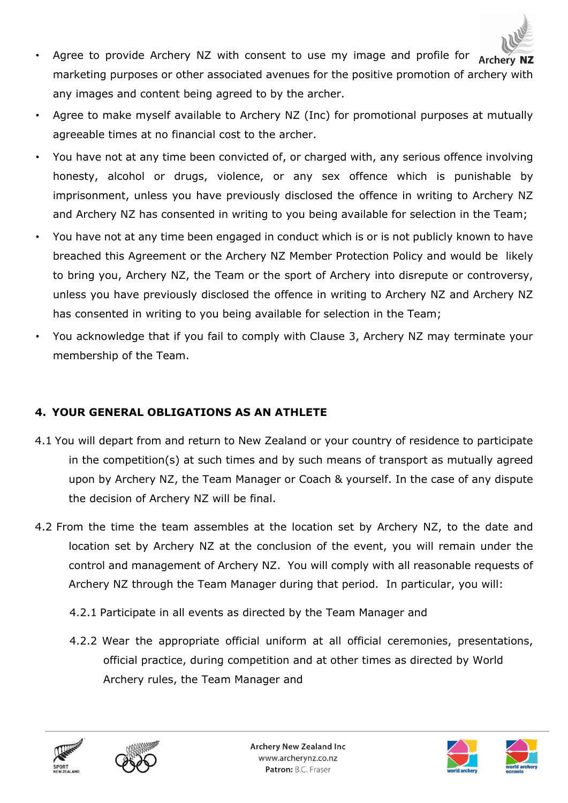

- Agree to provide Archery NZ with consent to use my image and profile for  $\overrightarrow{Archery}$  NZ marketing purposes or other associated avenues for the positive promotion of archery with any images and content being agreed to by the archer.
- Agree to make myself available to Archery NZ (Inc) for promotional purposes at mutually agreeable times at no financial cost to the archer.
- You have not at any time been convicted of, or charged with, any serious offence involving honesty, alcohol or drugs, violence, or any sex offence which is punishable by imprisonment, unless you have previously disclosed the offence in writing to Archery NZ and Archery NZ has consented in writing to you being available for selection in the Team;
- You have not at any time been engaged in conduct which is or is not publicly known to have breached this Agreement or the Archery NZ Member Protection Policy and would be likely to bring you, Archery NZ, the Team or the sport of Archery into disrepute or controversy, unless you have previously disclosed the offence in writing to Archery NZ and Archery NZ has consented in writing to you being available for selection in the Team;
- You acknowledge that if you fail to comply with Clause 3, Archery NZ may terminate your membership of the Team.

# **4. YOUR GENERAL OBLIGATIONS AS AN ATHLETE**

- 4.1 You will depart from and return to New Zealand or your country of residence to participate in the competition(s) at such times and by such means of transport as mutually agreed upon by Archery NZ, the Team Manager or Coach & yourself. In the case of any dispute the decision of Archery NZ will be final.
- 4.2 From the time the team assembles at the location set by Archery NZ, to the date and location set by Archery NZ at the conclusion of the event, you will remain under the control and management of Archery NZ. You will comply with all reasonable requests of Archery NZ through the Team Manager during that period. In particular, you will:
	- 4.2.1 Participate in all events as directed by the Team Manager and
	- 4.2.2 Wear the appropriate official uniform at all official ceremonies, presentations, official practice, during competition and at other times as directed by World Archery rules, the Team Manager and







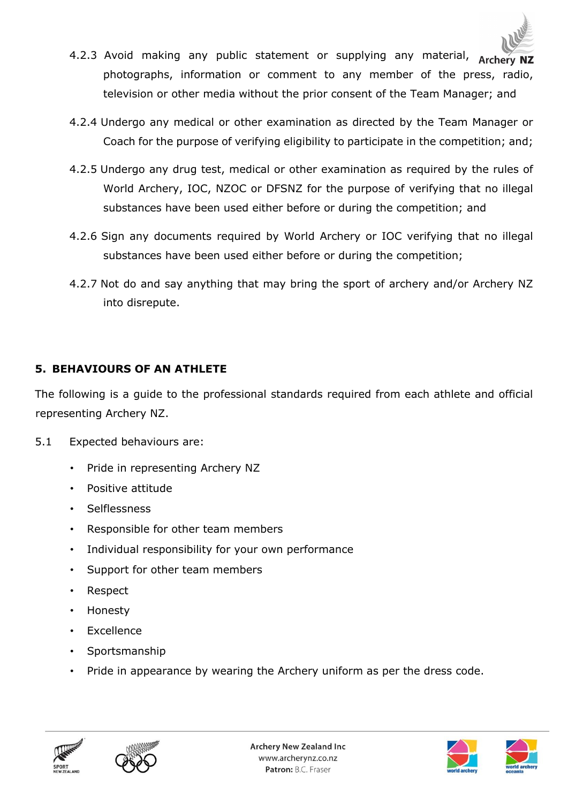- 4.2.3 Avoid making any public statement or supplying any material, Archery NZ photographs, information or comment to any member of the press, radio, television or other media without the prior consent of the Team Manager; and
- 4.2.4 Undergo any medical or other examination as directed by the Team Manager or Coach for the purpose of verifying eligibility to participate in the competition; and;
- 4.2.5 Undergo any drug test, medical or other examination as required by the rules of World Archery, IOC, NZOC or DFSNZ for the purpose of verifying that no illegal substances have been used either before or during the competition; and
- 4.2.6 Sign any documents required by World Archery or IOC verifying that no illegal substances have been used either before or during the competition;
- 4.2.7 Not do and say anything that may bring the sport of archery and/or Archery NZ into disrepute.

## **5. BEHAVIOURS OF AN ATHLETE**

The following is a guide to the professional standards required from each athlete and official representing Archery NZ.

- 5.1 Expected behaviours are:
	- Pride in representing Archery NZ
	- Positive attitude
	- Selflessness
	- Responsible for other team members
	- Individual responsibility for your own performance
	- Support for other team members
	- Respect
	- Honesty
	- Excellence
	- Sportsmanship
	- Pride in appearance by wearing the Archery uniform as per the dress code.







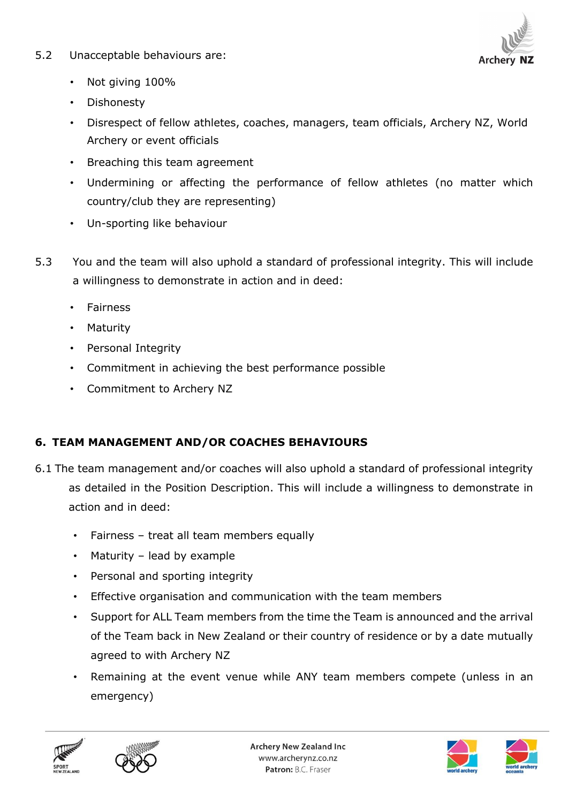### 5.2 Unacceptable behaviours are:



- Not giving 100%
- Dishonesty
- Disrespect of fellow athletes, coaches, managers, team officials, Archery NZ, World Archery or event officials
- Breaching this team agreement
- Undermining or affecting the performance of fellow athletes (no matter which country/club they are representing)
- Un-sporting like behaviour
- 5.3 You and the team will also uphold a standard of professional integrity. This will include a willingness to demonstrate in action and in deed:
	- Fairness
	- Maturity
	- Personal Integrity
	- Commitment in achieving the best performance possible
	- Commitment to Archery NZ

## **6. TEAM MANAGEMENT AND/OR COACHES BEHAVIOURS**

- 6.1 The team management and/or coaches will also uphold a standard of professional integrity as detailed in the Position Description. This will include a willingness to demonstrate in action and in deed:
	- Fairness treat all team members equally
	- Maturity lead by example
	- Personal and sporting integrity
	- Effective organisation and communication with the team members
	- Support for ALL Team members from the time the Team is announced and the arrival of the Team back in New Zealand or their country of residence or by a date mutually agreed to with Archery NZ
	- Remaining at the event venue while ANY team members compete (unless in an emergency)







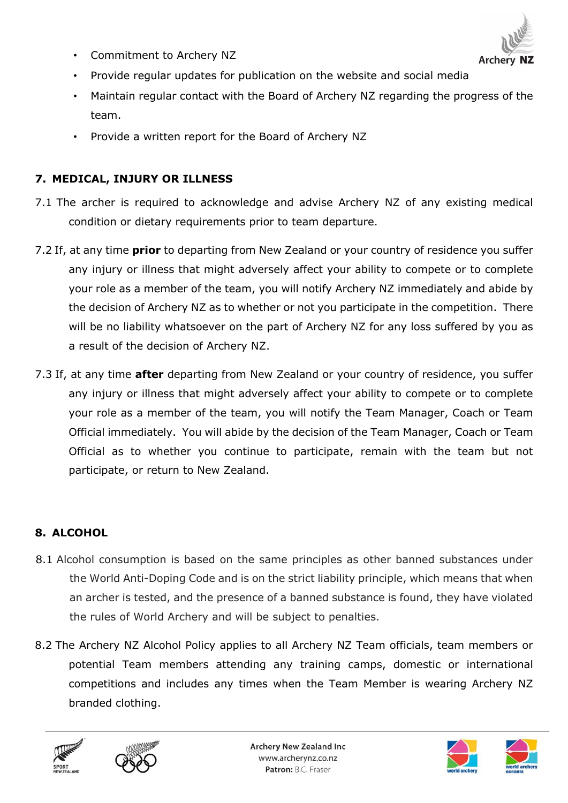• Commitment to Archery NZ



- Provide regular updates for publication on the website and social media
- Maintain regular contact with the Board of Archery NZ regarding the progress of the team.
- Provide a written report for the Board of Archery NZ

## **7. MEDICAL, INJURY OR ILLNESS**

- 7.1 The archer is required to acknowledge and advise Archery NZ of any existing medical condition or dietary requirements prior to team departure.
- 7.2 If, at any time **prior** to departing from New Zealand or your country of residence you suffer any injury or illness that might adversely affect your ability to compete or to complete your role as a member of the team, you will notify Archery NZ immediately and abide by the decision of Archery NZ as to whether or not you participate in the competition. There will be no liability whatsoever on the part of Archery NZ for any loss suffered by you as a result of the decision of Archery NZ.
- 7.3 If, at any time **after** departing from New Zealand or your country of residence, you suffer any injury or illness that might adversely affect your ability to compete or to complete your role as a member of the team, you will notify the Team Manager, Coach or Team Official immediately. You will abide by the decision of the Team Manager, Coach or Team Official as to whether you continue to participate, remain with the team but not participate, or return to New Zealand.

# **8. ALCOHOL**

- 8.1 Alcohol consumption is based on the same principles as other banned substances under the World Anti-Doping Code and is on the strict liability principle, which means that when an archer is tested, and the presence of a banned substance is found, they have violated the rules of World Archery and will be subject to penalties.
- 8.2 The Archery NZ Alcohol Policy applies to all Archery NZ Team officials, team members or potential Team members attending any training camps, domestic or international competitions and includes any times when the Team Member is wearing Archery NZ branded clothing.







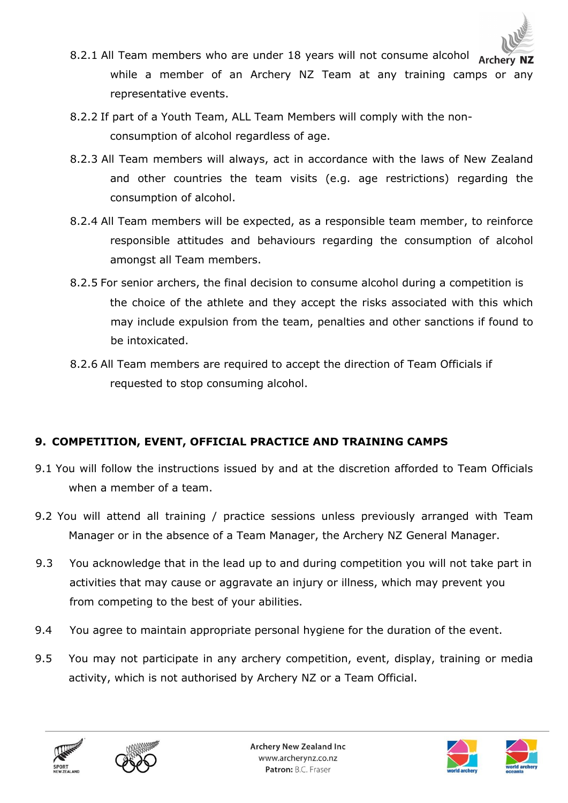

- 8.2.1 All Team members who are under 18 years will not consume alcohol Archery while a member of an Archery NZ Team at any training camps or any representative events.
- 8.2.2 If part of a Youth Team, ALL Team Members will comply with the nonconsumption of alcohol regardless of age.
- 8.2.3 All Team members will always, act in accordance with the laws of New Zealand and other countries the team visits (e.g. age restrictions) regarding the consumption of alcohol.
- 8.2.4 All Team members will be expected, as a responsible team member, to reinforce responsible attitudes and behaviours regarding the consumption of alcohol amongst all Team members.
- 8.2.5 For senior archers, the final decision to consume alcohol during a competition is the choice of the athlete and they accept the risks associated with this which may include expulsion from the team, penalties and other sanctions if found to be intoxicated.
- 8.2.6 All Team members are required to accept the direction of Team Officials if requested to stop consuming alcohol.

# **9. COMPETITION, EVENT, OFFICIAL PRACTICE AND TRAINING CAMPS**

- 9.1 You will follow the instructions issued by and at the discretion afforded to Team Officials when a member of a team.
- 9.2 You will attend all training / practice sessions unless previously arranged with Team Manager or in the absence of a Team Manager, the Archery NZ General Manager.
- 9.3 You acknowledge that in the lead up to and during competition you will not take part in activities that may cause or aggravate an injury or illness, which may prevent you from competing to the best of your abilities.
- 9.4 You agree to maintain appropriate personal hygiene for the duration of the event.
- 9.5 You may not participate in any archery competition, event, display, training or media activity, which is not authorised by Archery NZ or a Team Official.







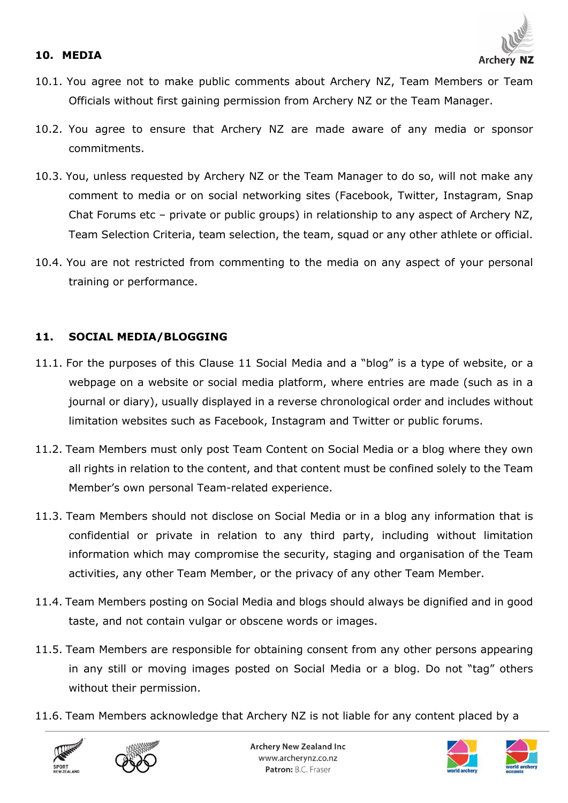#### **10. MEDIA**



- 10.1. You agree not to make public comments about Archery NZ, Team Members or Team Officials without first gaining permission from Archery NZ or the Team Manager.
- 10.2. You agree to ensure that Archery NZ are made aware of any media or sponsor commitments.
- 10.3. You, unless requested by Archery NZ or the Team Manager to do so, will not make any comment to media or on social networking sites (Facebook, Twitter, Instagram, Snap Chat Forums etc – private or public groups) in relationship to any aspect of Archery NZ, Team Selection Criteria, team selection, the team, squad or any other athlete or official.
- 10.4. You are not restricted from commenting to the media on any aspect of your personal training or performance.

## **11. SOCIAL MEDIA/BLOGGING**

- 11.1. For the purposes of this Clause 11 Social Media and a "blog" is a type of website, or a webpage on a website or social media platform, where entries are made (such as in a journal or diary), usually displayed in a reverse chronological order and includes without limitation websites such as Facebook, Instagram and Twitter or public forums.
- 11.2. Team Members must only post Team Content on Social Media or a blog where they own all rights in relation to the content, and that content must be confined solely to the Team Member's own personal Team-related experience.
- 11.3. Team Members should not disclose on Social Media or in a blog any information that is confidential or private in relation to any third party, including without limitation information which may compromise the security, staging and organisation of the Team activities, any other Team Member, or the privacy of any other Team Member.
- 11.4. Team Members posting on Social Media and blogs should always be dignified and in good taste, and not contain vulgar or obscene words or images.
- 11.5. Team Members are responsible for obtaining consent from any other persons appearing in any still or moving images posted on Social Media or a blog. Do not "tag" others without their permission.
- 11.6. Team Members acknowledge that Archery NZ is not liable for any content placed by a







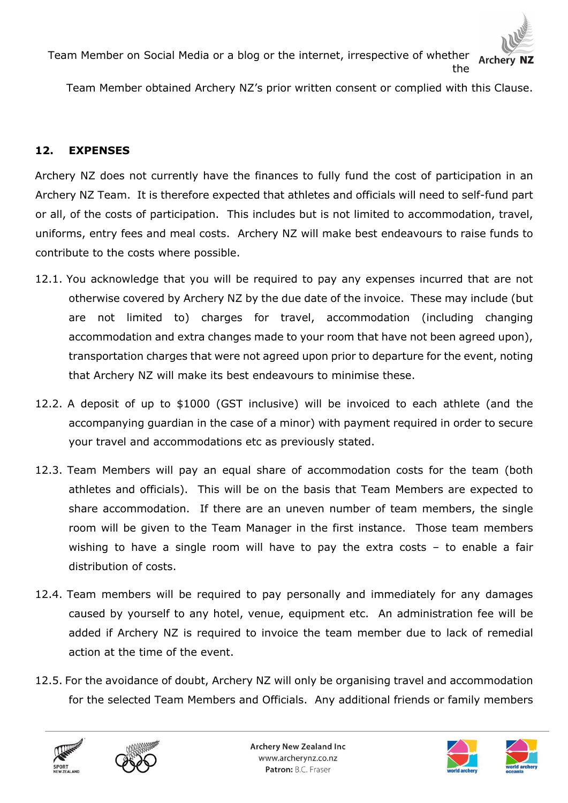

Team Member on Social Media or a blog or the internet, irrespective of whether Archery the

Team Member obtained Archery NZ's prior written consent or complied with this Clause.

### **12. EXPENSES**

Archery NZ does not currently have the finances to fully fund the cost of participation in an Archery NZ Team. It is therefore expected that athletes and officials will need to self-fund part or all, of the costs of participation. This includes but is not limited to accommodation, travel, uniforms, entry fees and meal costs. Archery NZ will make best endeavours to raise funds to contribute to the costs where possible.

- 12.1. You acknowledge that you will be required to pay any expenses incurred that are not otherwise covered by Archery NZ by the due date of the invoice. These may include (but are not limited to) charges for travel, accommodation (including changing accommodation and extra changes made to your room that have not been agreed upon), transportation charges that were not agreed upon prior to departure for the event, noting that Archery NZ will make its best endeavours to minimise these.
- 12.2. A deposit of up to \$1000 (GST inclusive) will be invoiced to each athlete (and the accompanying guardian in the case of a minor) with payment required in order to secure your travel and accommodations etc as previously stated.
- 12.3. Team Members will pay an equal share of accommodation costs for the team (both athletes and officials). This will be on the basis that Team Members are expected to share accommodation. If there are an uneven number of team members, the single room will be given to the Team Manager in the first instance. Those team members wishing to have a single room will have to pay the extra costs – to enable a fair distribution of costs.
- 12.4. Team members will be required to pay personally and immediately for any damages caused by yourself to any hotel, venue, equipment etc. An administration fee will be added if Archery NZ is required to invoice the team member due to lack of remedial action at the time of the event.
- 12.5. For the avoidance of doubt, Archery NZ will only be organising travel and accommodation for the selected Team Members and Officials. Any additional friends or family members







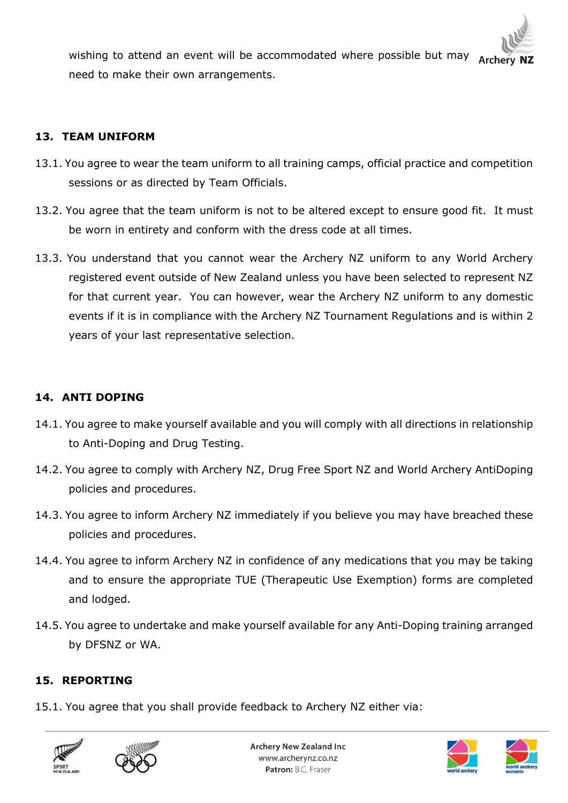

wishing to attend an event will be accommodated where possible but may Arche need to make their own arrangements.

## **13. TEAM UNIFORM**

- 13.1. You agree to wear the team uniform to all training camps, official practice and competition sessions or as directed by Team Officials.
- 13.2. You agree that the team uniform is not to be altered except to ensure good fit. It must be worn in entirety and conform with the dress code at all times.
- 13.3. You understand that you cannot wear the Archery NZ uniform to any World Archery registered event outside of New Zealand unless you have been selected to represent NZ for that current year. You can however, wear the Archery NZ uniform to any domestic events if it is in compliance with the Archery NZ Tournament Regulations and is within 2 years of your last representative selection.

## **14. ANTI DOPING**

- 14.1. You agree to make yourself available and you will comply with all directions in relationship to Anti-Doping and Drug Testing.
- 14.2. You agree to comply with Archery NZ, Drug Free Sport NZ and World Archery AntiDoping policies and procedures.
- 14.3. You agree to inform Archery NZ immediately if you believe you may have breached these policies and procedures.
- 14.4. You agree to inform Archery NZ in confidence of any medications that you may be taking and to ensure the appropriate TUE (Therapeutic Use Exemption) forms are completed and lodged.
- 14.5. You agree to undertake and make yourself available for any Anti-Doping training arranged by DFSNZ or WA.

## **15. REPORTING**

15.1. You agree that you shall provide feedback to Archery NZ either via:







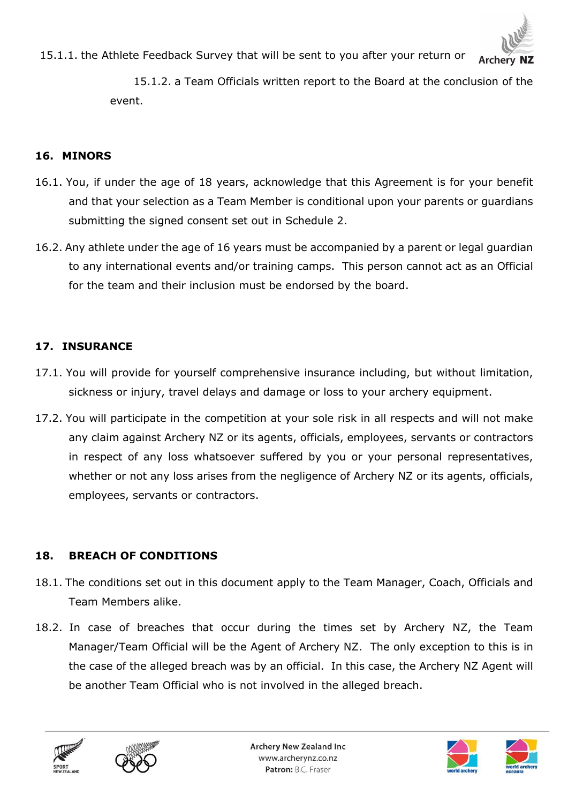

15.1.1. the Athlete Feedback Survey that will be sent to you after your return or Archery

> 15.1.2. a Team Officials written report to the Board at the conclusion of the event.

#### **16. MINORS**

- 16.1. You, if under the age of 18 years, acknowledge that this Agreement is for your benefit and that your selection as a Team Member is conditional upon your parents or guardians submitting the signed consent set out in Schedule 2.
- 16.2. Any athlete under the age of 16 years must be accompanied by a parent or legal guardian to any international events and/or training camps. This person cannot act as an Official for the team and their inclusion must be endorsed by the board.

### **17. INSURANCE**

- 17.1. You will provide for yourself comprehensive insurance including, but without limitation, sickness or injury, travel delays and damage or loss to your archery equipment.
- 17.2. You will participate in the competition at your sole risk in all respects and will not make any claim against Archery NZ or its agents, officials, employees, servants or contractors in respect of any loss whatsoever suffered by you or your personal representatives, whether or not any loss arises from the negligence of Archery NZ or its agents, officials, employees, servants or contractors.

### **18. BREACH OF CONDITIONS**

- 18.1. The conditions set out in this document apply to the Team Manager, Coach, Officials and Team Members alike.
- 18.2. In case of breaches that occur during the times set by Archery NZ, the Team Manager/Team Official will be the Agent of Archery NZ. The only exception to this is in the case of the alleged breach was by an official. In this case, the Archery NZ Agent will be another Team Official who is not involved in the alleged breach.







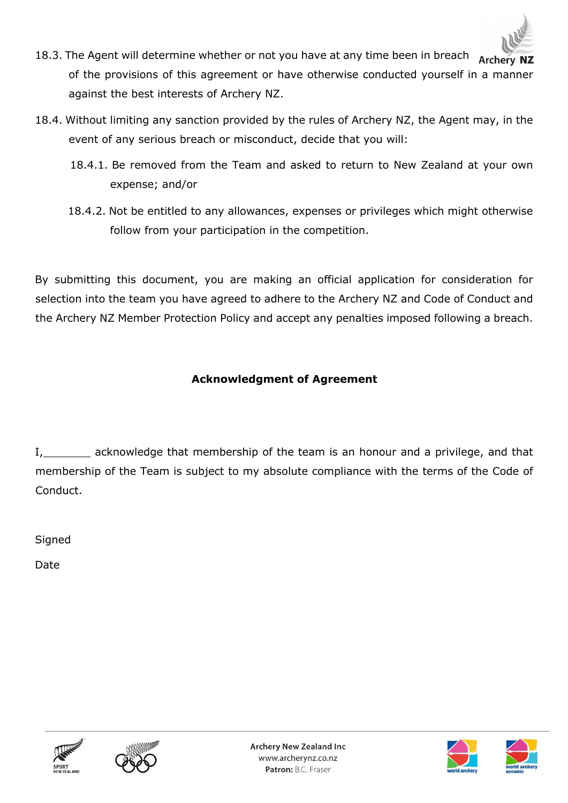

- 18.3. The Agent will determine whether or not you have at any time been in breach of the provisions of this agreement or have otherwise conducted yourself in a manner against the best interests of Archery NZ.
- 18.4. Without limiting any sanction provided by the rules of Archery NZ, the Agent may, in the event of any serious breach or misconduct, decide that you will:
	- 18.4.1. Be removed from the Team and asked to return to New Zealand at your own expense; and/or
	- 18.4.2. Not be entitled to any allowances, expenses or privileges which might otherwise follow from your participation in the competition.

By submitting this document, you are making an official application for consideration for selection into the team you have agreed to adhere to the Archery NZ and Code of Conduct and the Archery NZ Member Protection Policy and accept any penalties imposed following a breach.

# **Acknowledgment of Agreement**

I, acknowledge that membership of the team is an honour and a privilege, and that membership of the Team is subject to my absolute compliance with the terms of the Code of Conduct.

**Signed** 

Date